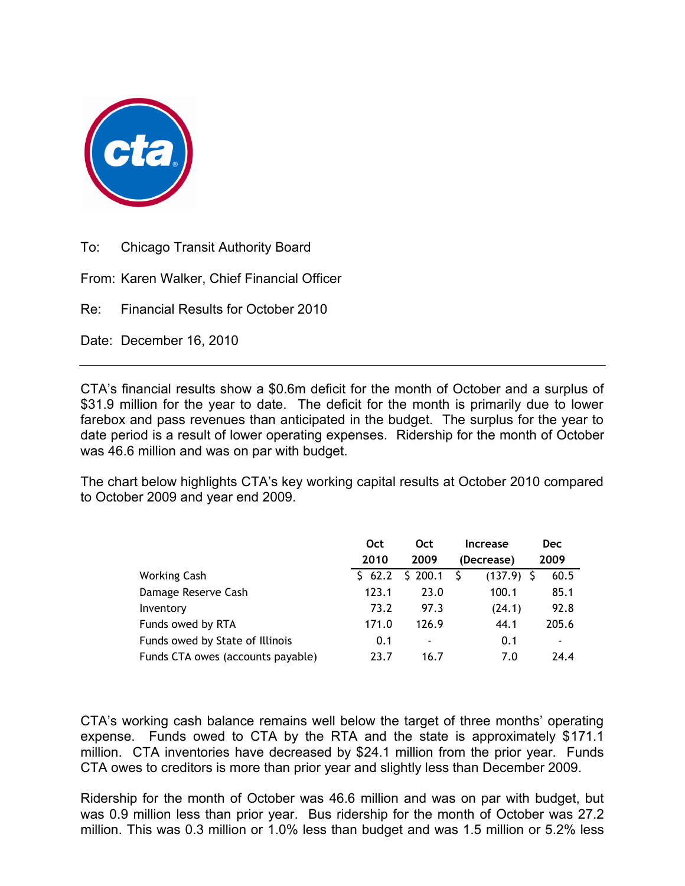

To: Chicago Transit Authority Board

From: Karen Walker, Chief Financial Officer

Re: Financial Results for October 2010

Date: December 16, 2010

CTA's financial results show a \$0.6m deficit for the month of October and a surplus of \$31.9 million for the year to date. The deficit for the month is primarily due to lower farebox and pass revenues than anticipated in the budget. The surplus for the year to date period is a result of lower operating expenses. Ridership for the month of October was 46.6 million and was on par with budget.

The chart below highlights CTA's key working capital results at October 2010 compared to October 2009 and year end 2009.

|                                   | Oct       | Oct                          | <b>Increase</b>   | <b>Dec</b>               |
|-----------------------------------|-----------|------------------------------|-------------------|--------------------------|
|                                   | 2010      | 2009                         | (Decrease)        | 2009                     |
| <b>Working Cash</b>               | $5\,62.2$ | \$200.1                      | S<br>$(137.9)$ \$ | 60.5                     |
| Damage Reserve Cash               | 123.1     | 23.0                         | 100.1             | 85.1                     |
| Inventory                         | 73.2      | 97.3                         | (24.1)            | 92.8                     |
| Funds owed by RTA                 | 171.0     | 126.9                        | 44.1              | 205.6                    |
| Funds owed by State of Illinois   | 0.1       | $\qquad \qquad \blacksquare$ | 0.1               | $\overline{\phantom{a}}$ |
| Funds CTA owes (accounts payable) | 23.7      | 16.7                         | 7.0               | 24.4                     |

CTA's working cash balance remains well below the target of three months' operating expense. Funds owed to CTA by the RTA and the state is approximately \$171.1 million. CTA inventories have decreased by \$24.1 million from the prior year. Funds CTA owes to creditors is more than prior year and slightly less than December 2009.

Ridership for the month of October was 46.6 million and was on par with budget, but was 0.9 million less than prior year. Bus ridership for the month of October was 27.2 million. This was 0.3 million or 1.0% less than budget and was 1.5 million or 5.2% less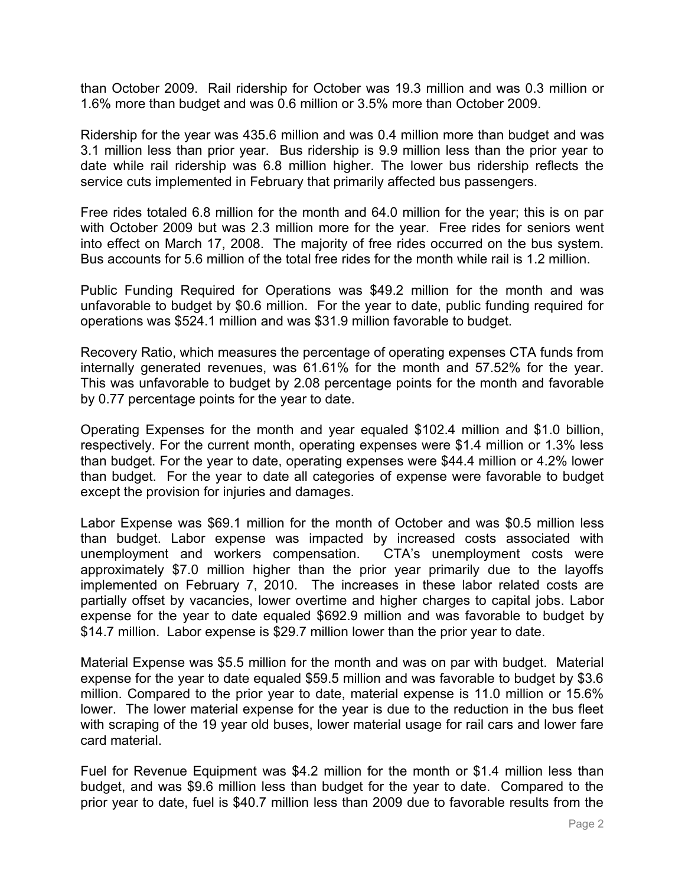than October 2009. Rail ridership for October was 19.3 million and was 0.3 million or 1.6% more than budget and was 0.6 million or 3.5% more than October 2009.

Ridership for the year was 435.6 million and was 0.4 million more than budget and was 3.1 million less than prior year. Bus ridership is 9.9 million less than the prior year to date while rail ridership was 6.8 million higher. The lower bus ridership reflects the service cuts implemented in February that primarily affected bus passengers.

Free rides totaled 6.8 million for the month and 64.0 million for the year; this is on par with October 2009 but was 2.3 million more for the year. Free rides for seniors went into effect on March 17, 2008. The majority of free rides occurred on the bus system. Bus accounts for 5.6 million of the total free rides for the month while rail is 1.2 million.

Public Funding Required for Operations was \$49.2 million for the month and was unfavorable to budget by \$0.6 million. For the year to date, public funding required for operations was \$524.1 million and was \$31.9 million favorable to budget.

Recovery Ratio, which measures the percentage of operating expenses CTA funds from internally generated revenues, was 61.61% for the month and 57.52% for the year. This was unfavorable to budget by 2.08 percentage points for the month and favorable by 0.77 percentage points for the year to date.

Operating Expenses for the month and year equaled \$102.4 million and \$1.0 billion, respectively. For the current month, operating expenses were \$1.4 million or 1.3% less than budget. For the year to date, operating expenses were \$44.4 million or 4.2% lower than budget. For the year to date all categories of expense were favorable to budget except the provision for injuries and damages.

Labor Expense was \$69.1 million for the month of October and was \$0.5 million less than budget. Labor expense was impacted by increased costs associated with unemployment and workers compensation. CTA's unemployment costs were approximately \$7.0 million higher than the prior year primarily due to the layoffs implemented on February 7, 2010. The increases in these labor related costs are partially offset by vacancies, lower overtime and higher charges to capital jobs. Labor expense for the year to date equaled \$692.9 million and was favorable to budget by \$14.7 million. Labor expense is \$29.7 million lower than the prior year to date.

Material Expense was \$5.5 million for the month and was on par with budget. Material expense for the year to date equaled \$59.5 million and was favorable to budget by \$3.6 million. Compared to the prior year to date, material expense is 11.0 million or 15.6% lower. The lower material expense for the year is due to the reduction in the bus fleet with scraping of the 19 year old buses, lower material usage for rail cars and lower fare card material.

Fuel for Revenue Equipment was \$4.2 million for the month or \$1.4 million less than budget, and was \$9.6 million less than budget for the year to date. Compared to the prior year to date, fuel is \$40.7 million less than 2009 due to favorable results from the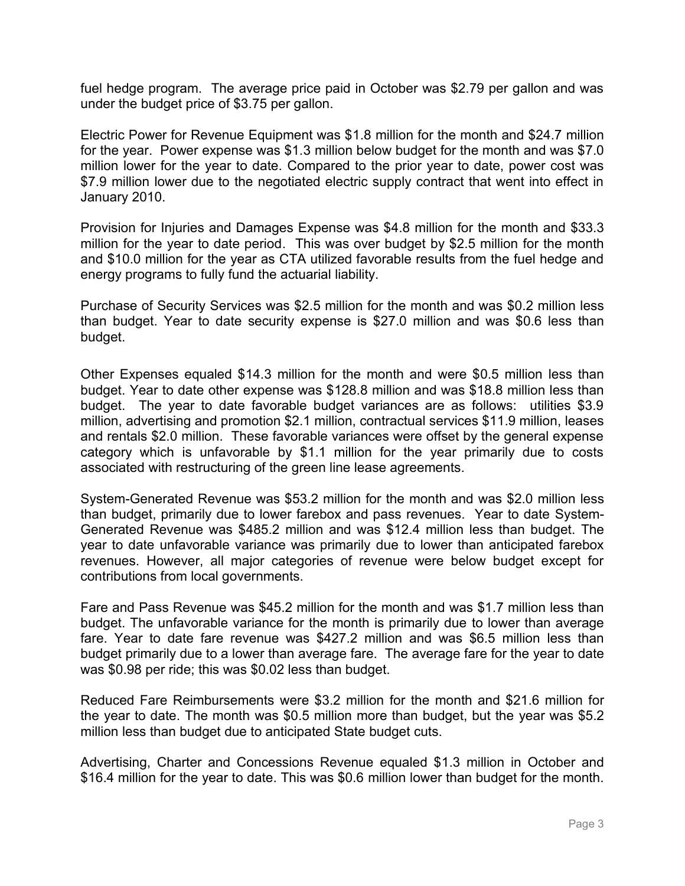fuel hedge program. The average price paid in October was \$2.79 per gallon and was under the budget price of \$3.75 per gallon.

Electric Power for Revenue Equipment was \$1.8 million for the month and \$24.7 million for the year. Power expense was \$1.3 million below budget for the month and was \$7.0 million lower for the year to date. Compared to the prior year to date, power cost was \$7.9 million lower due to the negotiated electric supply contract that went into effect in January 2010.

Provision for Injuries and Damages Expense was \$4.8 million for the month and \$33.3 million for the year to date period. This was over budget by \$2.5 million for the month and \$10.0 million for the year as CTA utilized favorable results from the fuel hedge and energy programs to fully fund the actuarial liability.

Purchase of Security Services was \$2.5 million for the month and was \$0.2 million less than budget. Year to date security expense is \$27.0 million and was \$0.6 less than budget.

Other Expenses equaled \$14.3 million for the month and were \$0.5 million less than budget. Year to date other expense was \$128.8 million and was \$18.8 million less than budget. The year to date favorable budget variances are as follows: utilities \$3.9 million, advertising and promotion \$2.1 million, contractual services \$11.9 million, leases and rentals \$2.0 million. These favorable variances were offset by the general expense category which is unfavorable by \$1.1 million for the year primarily due to costs associated with restructuring of the green line lease agreements.

System-Generated Revenue was \$53.2 million for the month and was \$2.0 million less than budget, primarily due to lower farebox and pass revenues. Year to date System-Generated Revenue was \$485.2 million and was \$12.4 million less than budget. The year to date unfavorable variance was primarily due to lower than anticipated farebox revenues. However, all major categories of revenue were below budget except for contributions from local governments.

Fare and Pass Revenue was \$45.2 million for the month and was \$1.7 million less than budget. The unfavorable variance for the month is primarily due to lower than average fare. Year to date fare revenue was \$427.2 million and was \$6.5 million less than budget primarily due to a lower than average fare. The average fare for the year to date was \$0.98 per ride; this was \$0.02 less than budget.

Reduced Fare Reimbursements were \$3.2 million for the month and \$21.6 million for the year to date. The month was \$0.5 million more than budget, but the year was \$5.2 million less than budget due to anticipated State budget cuts.

Advertising, Charter and Concessions Revenue equaled \$1.3 million in October and \$16.4 million for the year to date. This was \$0.6 million lower than budget for the month.